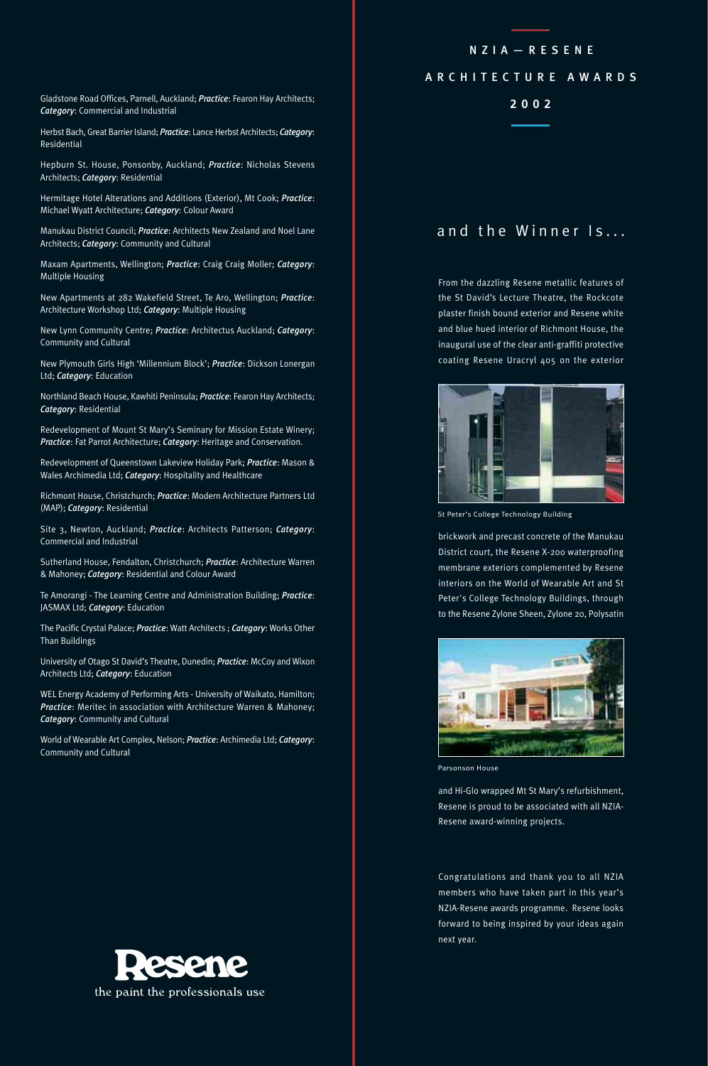**2002** Gladstone Road Offices, Parnell, Auckland; *Practice*: Fearon Hay Architects; *Category*: Commercial and Industrial

Herbst Bach, Great Barrier Island; *Practice*: Lance Herbst Architects; *Category*: Residential

Hepburn St. House, Ponsonby, Auckland; *Practice*: Nicholas Stevens Architects; *Category*: Residential

Hermitage Hotel Alterations and Additions (Exterior), Mt Cook; *Practice*: Michael Wyatt Architecture; *Category*: Colour Award

Manukau District Council; *Practice*: Architects New Zealand and Noel Lane Architects; *Category*: Community and Cultural

Maxam Apartments, Wellington; *Practice*: Craig Craig Moller; *Category*: Multiple Housing

New Apartments at 282 Wakefield Street, Te Aro, Wellington; *Practice*: Architecture Workshop Ltd; *Category*: Multiple Housing

New Lynn Community Centre; *Practice*: Architectus Auckland; *Category*: Community and Cultural

New Plymouth Girls High 'Millennium Block'; *Practice*: Dickson Lonergan Ltd; *Category*: Education

Northland Beach House, Kawhiti Peninsula; *Practice*: Fearon Hay Architects; *Category*: Residential

Redevelopment of Mount St Mary's Seminary for Mission Estate Winery; *Practice*: Fat Parrot Architecture; *Category*: Heritage and Conservation.

Redevelopment of Queenstown Lakeview Holiday Park; *Practice*: Mason & Wales Archimedia Ltd; *Category*: Hospitality and Healthcare

Richmont House, Christchurch; *Practice*: Modern Architecture Partners Ltd (MAP); *Category*: Residential

Site 3, Newton, Auckland; *Practice*: Architects Patterson; *Category*: Commercial and Industrial

Sutherland House, Fendalton, Christchurch; *Practice*: Architecture Warren & Mahoney; *Category*: Residential and Colour Award

Te Amorangi - The Learning Centre and Administration Building; *Practice*: JASMAX Ltd; *Category*: Education

The Pacific Crystal Palace; *Practice*: Watt Architects ; *Category*: Works Other Than Buildings

University of Otago St David's Theatre, Dunedin; *Practice*: McCoy and Wixon Architects Ltd; *Category*: Education

WEL Energy Academy of Performing Arts - University of Waikato, Hamilton; *Practice*: Meritec in association with Architecture Warren & Mahoney; *Category*: Community and Cultural

World of Wearable Art Complex, Nelson; *Practice*: Archimedia Ltd; *Category*: Community and Cultural

### NZIA—RESENE

## ARCHITECTURE AWARDS

# and the Winner Is...

From the dazzling Resene metallic features of the St David's Lecture Theatre, the Rockcote plaster finish bound exterior and Resene white and blue hued interior of Richmont House, the inaugural use of the clear anti-graffiti protective coating Resene Uracryl 405 on the exterior



St Peter's College Technology Building

brickwork and precast concrete of the Manukau District court, the Resene X-200 waterproofing membrane exteriors complemented by Resene interiors on the World of Wearable Art and St Peter's College Technology Buildings, through to the Resene Zylone Sheen, Zylone 20, Polysatin



Parsonson House

and Hi-Glo wrapped Mt St Mary's refurbishment, Resene is proud to be associated with all NZIA-Resene award-winning projects.

Congratulations and thank you to all NZIA members who have taken part in this year's NZIA-Resene awards programme. Resene looks forward to being inspired by your ideas again next year.